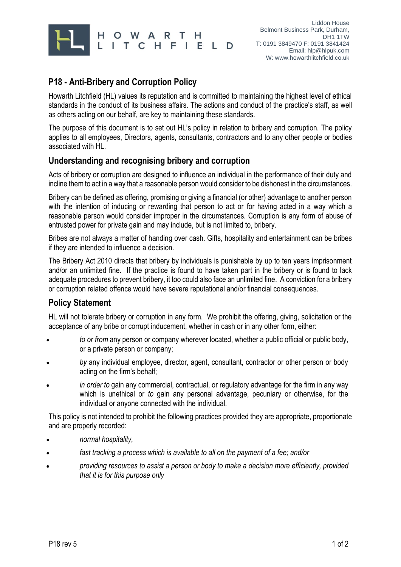

# **P18 - Anti-Bribery and Corruption Policy**

Howarth Litchfield (HL) values its reputation and is committed to maintaining the highest level of ethical standards in the conduct of its business affairs. The actions and conduct of the practice's staff, as well as others acting on our behalf, are key to maintaining these standards.

The purpose of this document is to set out HL's policy in relation to bribery and corruption. The policy applies to all employees, Directors, agents, consultants, contractors and to any other people or bodies associated with HL.

### **Understanding and recognising bribery and corruption**

Acts of bribery or corruption are designed to influence an individual in the performance of their duty and incline them to act in a way that a reasonable person would consider to be dishonest in the circumstances.

Bribery can be defined as offering, promising or giving a financial (or other) advantage to another person with the intention of inducing or rewarding that person to act or for having acted in a way which a reasonable person would consider improper in the circumstances. Corruption is any form of abuse of entrusted power for private gain and may include, but is not limited to, bribery.

Bribes are not always a matter of handing over cash. Gifts, hospitality and entertainment can be bribes if they are intended to influence a decision.

The Bribery Act 2010 directs that bribery by individuals is punishable by up to ten years imprisonment and/or an unlimited fine. If the practice is found to have taken part in the bribery or is found to lack adequate procedures to prevent bribery, it too could also face an unlimited fine. A conviction for a bribery or corruption related offence would have severe reputational and/or financial consequences.

#### **Policy Statement**

HL will not tolerate bribery or corruption in any form. We prohibit the offering, giving, solicitation or the acceptance of any bribe or corrupt inducement, whether in cash or in any other form, either:

- *to or from* any person or company wherever located, whether a public official or public body, or a private person or company;
- *by* any individual employee, director, agent, consultant, contractor or other person or body acting on the firm's behalf;
- *in order to* gain any commercial, contractual, or regulatory advantage for the firm in any way which is unethical or *to* gain any personal advantage, pecuniary or otherwise, for the individual or anyone connected with the individual.

This policy is not intended to prohibit the following practices provided they are appropriate, proportionate and are properly recorded:

- *normal hospitality,*
- *fast tracking a process which is available to all on the payment of a fee; and/or*
- *providing resources to assist a person or body to make a decision more efficiently, provided that it is for this purpose only*